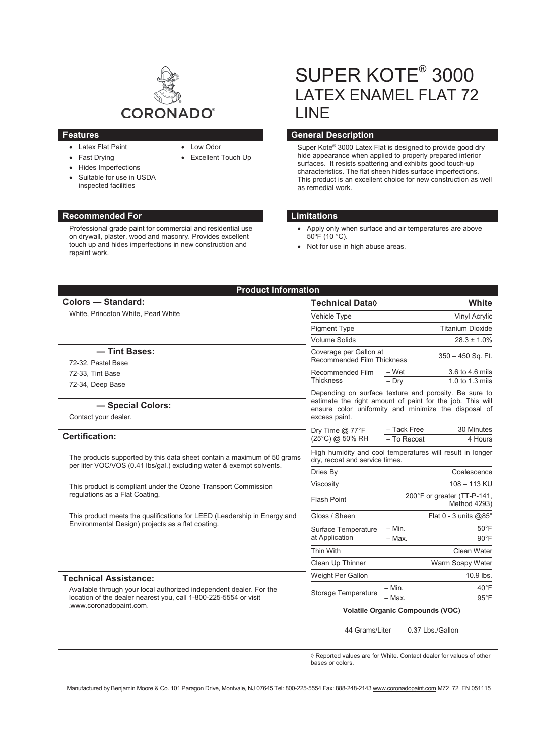

• Low Odor

• Excellent Touch Up

- Latex Flat Paint
- Fast Drving
- Hides Imperfections
- Suitable for use in USDA inspected facilities

# **Recommended For Limitations**

Professional grade paint for commercial and residential use on drywall, plaster, wood and masonry. Provides excellent touch up and hides imperfections in new construction and repaint work.

# SUPER KOTE® 3000 LATEX ENAMEL FLAT 72 LINE

# **Features General Description**

Super Kote® 3000 Latex Flat is designed to provide good dry hide appearance when applied to properly prepared interior surfaces. It resists spattering and exhibits good touch-up characteristics. The flat sheen hides surface imperfections. This product is an excellent choice for new construction as well as remedial work.

- Apply only when surface and air temperatures are above 50ºF (10 °C).
- Not for use in high abuse areas.

| <b>Product Information</b>                                                                                                                                        |                                                                                                                                                                                             |                                                     |
|-------------------------------------------------------------------------------------------------------------------------------------------------------------------|---------------------------------------------------------------------------------------------------------------------------------------------------------------------------------------------|-----------------------------------------------------|
| <b>Colors - Standard:</b>                                                                                                                                         | Technical Data◊                                                                                                                                                                             | White                                               |
| White, Princeton White, Pearl White                                                                                                                               | Vehicle Type                                                                                                                                                                                | Vinyl Acrylic                                       |
|                                                                                                                                                                   | <b>Pigment Type</b>                                                                                                                                                                         | <b>Titanium Dioxide</b>                             |
|                                                                                                                                                                   | <b>Volume Solids</b>                                                                                                                                                                        | $28.3 \pm 1.0\%$                                    |
| - Tint Bases:                                                                                                                                                     | Coverage per Gallon at                                                                                                                                                                      | $350 - 450$ Sq. Ft.                                 |
| 72-32, Pastel Base                                                                                                                                                | Recommended Film Thickness                                                                                                                                                                  |                                                     |
| 72-33, Tint Base                                                                                                                                                  | Recommended Film                                                                                                                                                                            | 3.6 to 4.6 mils<br>– Wet                            |
| 72-34, Deep Base                                                                                                                                                  | <b>Thickness</b>                                                                                                                                                                            | $-$ Drv<br>1.0 to 1.3 mils                          |
| - Special Colors:<br>Contact your dealer.                                                                                                                         | Depending on surface texture and porosity. Be sure to<br>estimate the right amount of paint for the job. This will<br>ensure color uniformity and minimize the disposal of<br>excess paint. |                                                     |
| <b>Certification:</b>                                                                                                                                             | Dry Time $@$ 77 ${}^{\circ}$ F<br>(25°C) @ 50% RH                                                                                                                                           | - Tack Free<br>30 Minutes<br>- To Recoat<br>4 Hours |
| The products supported by this data sheet contain a maximum of 50 grams<br>per liter VOC/VOS (0.41 lbs/gal.) excluding water & exempt solvents.                   | High humidity and cool temperatures will result in longer<br>dry, recoat and service times.                                                                                                 |                                                     |
|                                                                                                                                                                   | Dries By                                                                                                                                                                                    | Coalescence                                         |
| This product is compliant under the Ozone Transport Commission<br>regulations as a Flat Coating.                                                                  | Viscosity                                                                                                                                                                                   | 108 - 113 KU                                        |
|                                                                                                                                                                   | Flash Point                                                                                                                                                                                 | 200°F or greater (TT-P-141,<br>Method 4293)         |
| This product meets the qualifications for LEED (Leadership in Energy and<br>Environmental Design) projects as a flat coating.                                     | Gloss / Sheen                                                                                                                                                                               | Flat $0 - 3$ units @85°                             |
|                                                                                                                                                                   | Surface Temperature<br>at Application                                                                                                                                                       | $-$ Min.<br>$50^{\circ}$ F                          |
|                                                                                                                                                                   |                                                                                                                                                                                             | $-$ Max.<br>$90^{\circ}$ F                          |
|                                                                                                                                                                   | Thin With                                                                                                                                                                                   | Clean Water                                         |
|                                                                                                                                                                   | Clean Up Thinner                                                                                                                                                                            | Warm Soapy Water                                    |
| <b>Technical Assistance:</b>                                                                                                                                      | Weight Per Gallon                                                                                                                                                                           | $10.9$ lbs.                                         |
| Available through your local authorized independent dealer. For the<br>location of the dealer nearest you, call 1-800-225-5554 or visit<br>www.coronadopaint.com. | Storage Temperature                                                                                                                                                                         | $40^{\circ}$ F<br>$-$ Min.                          |
|                                                                                                                                                                   |                                                                                                                                                                                             | - Max.<br>$95^{\circ}$ F                            |
|                                                                                                                                                                   | <b>Volatile Organic Compounds (VOC)</b>                                                                                                                                                     |                                                     |
|                                                                                                                                                                   | 44 Grams/Liter                                                                                                                                                                              | 0.37 Lbs./Gallon                                    |

 $\Diamond$  Reported values are for White. Contact dealer for values of other bases or colors.